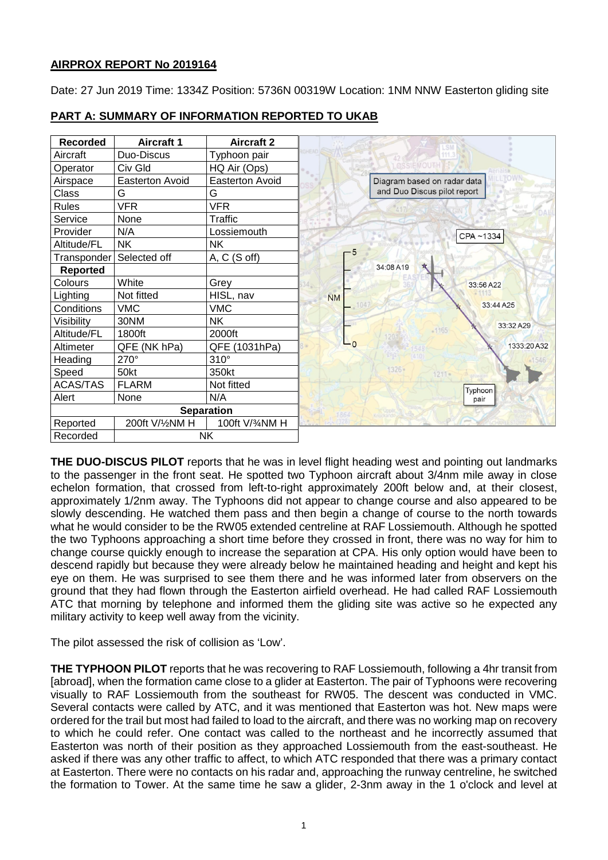# **AIRPROX REPORT No 2019164**

Date: 27 Jun 2019 Time: 1334Z Position: 5736N 00319W Location: 1NM NNW Easterton gliding site

| <b>Recorded</b>   | <b>Aircraft 1</b>      | <b>Aircraft 2</b>      |           |                             |
|-------------------|------------------------|------------------------|-----------|-----------------------------|
| Aircraft          | Duo-Discus             | Typhoon pair           |           |                             |
| Operator          | Civ Gld                | HQ Air (Ops)           |           |                             |
| Airspace          | <b>Easterton Avoid</b> | <b>Easterton Avoid</b> |           | Diagram based on radar data |
| Class             | G                      | G                      |           | and Duo Discus pilot report |
| <b>Rules</b>      | <b>VFR</b>             | VFR.                   |           |                             |
| Service           | None                   | Traffic                |           |                             |
| Provider          | N/A                    | Lossiemouth            |           | CPA~1334                    |
| Altitude/FL       | <b>NK</b>              | <b>NK</b>              |           |                             |
| Transponder       | Selected off           | $A, C$ (S off)         | $-5$      |                             |
| <b>Reported</b>   |                        |                        |           | 34:08 A19                   |
| Colours           | White                  | Grey                   |           | 33:56 A22                   |
| Lighting          | Not fitted             | HISL, nav              | <b>NM</b> |                             |
| Conditions        | <b>VMC</b>             | <b>VMC</b>             |           | 33:44 A25                   |
| Visibility        | 30NM                   | <b>NK</b>              |           | 33:32 A29                   |
| Altitude/FL       | 1800ft                 | 2000ft                 |           | $-1165$                     |
| Altimeter         | QFE (NK hPa)           | QFE (1031hPa)          | $L_0$     | 1333:20 A32                 |
| Heading           | 270°                   | $310^\circ$            |           |                             |
| Speed             | 50kt                   | 350kt                  |           | 1326-<br>$1211 -$           |
| <b>ACAS/TAS</b>   | <b>FLARM</b>           | Not fitted             |           | Typhoon                     |
| Alert             | None                   | N/A                    |           | pair                        |
| <b>Separation</b> |                        |                        |           | Knockando                   |
| Reported          | 200ft V/1/2NM H        | 100ft V/3/4NM H        |           |                             |
| Recorded          |                        | <b>NK</b>              |           |                             |

# **PART A: SUMMARY OF INFORMATION REPORTED TO UKAB**

**THE DUO-DISCUS PILOT** reports that he was in level flight heading west and pointing out landmarks to the passenger in the front seat. He spotted two Typhoon aircraft about 3/4nm mile away in close echelon formation, that crossed from left-to-right approximately 200ft below and, at their closest, approximately 1/2nm away. The Typhoons did not appear to change course and also appeared to be slowly descending. He watched them pass and then begin a change of course to the north towards what he would consider to be the RW05 extended centreline at RAF Lossiemouth. Although he spotted the two Typhoons approaching a short time before they crossed in front, there was no way for him to change course quickly enough to increase the separation at CPA. His only option would have been to descend rapidly but because they were already below he maintained heading and height and kept his eye on them. He was surprised to see them there and he was informed later from observers on the ground that they had flown through the Easterton airfield overhead. He had called RAF Lossiemouth ATC that morning by telephone and informed them the gliding site was active so he expected any military activity to keep well away from the vicinity.

The pilot assessed the risk of collision as 'Low'.

**THE TYPHOON PILOT** reports that he was recovering to RAF Lossiemouth, following a 4hr transit from [abroad], when the formation came close to a glider at Easterton. The pair of Typhoons were recovering visually to RAF Lossiemouth from the southeast for RW05. The descent was conducted in VMC. Several contacts were called by ATC, and it was mentioned that Easterton was hot. New maps were ordered for the trail but most had failed to load to the aircraft, and there was no working map on recovery to which he could refer. One contact was called to the northeast and he incorrectly assumed that Easterton was north of their position as they approached Lossiemouth from the east-southeast. He asked if there was any other traffic to affect, to which ATC responded that there was a primary contact at Easterton. There were no contacts on his radar and, approaching the runway centreline, he switched the formation to Tower. At the same time he saw a glider, 2-3nm away in the 1 o'clock and level at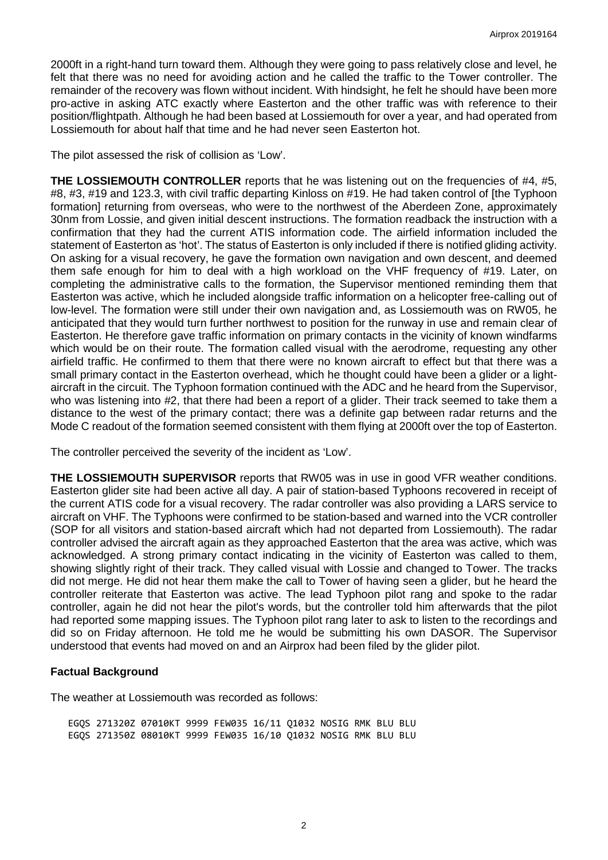2000ft in a right-hand turn toward them. Although they were going to pass relatively close and level, he felt that there was no need for avoiding action and he called the traffic to the Tower controller. The remainder of the recovery was flown without incident. With hindsight, he felt he should have been more pro-active in asking ATC exactly where Easterton and the other traffic was with reference to their position/flightpath. Although he had been based at Lossiemouth for over a year, and had operated from Lossiemouth for about half that time and he had never seen Easterton hot.

The pilot assessed the risk of collision as 'Low'.

**THE LOSSIEMOUTH CONTROLLER** reports that he was listening out on the frequencies of #4, #5, #8, #3, #19 and 123.3, with civil traffic departing Kinloss on #19. He had taken control of [the Typhoon formation] returning from overseas, who were to the northwest of the Aberdeen Zone, approximately 30nm from Lossie, and given initial descent instructions. The formation readback the instruction with a confirmation that they had the current ATIS information code. The airfield information included the statement of Easterton as 'hot'. The status of Easterton is only included if there is notified gliding activity. On asking for a visual recovery, he gave the formation own navigation and own descent, and deemed them safe enough for him to deal with a high workload on the VHF frequency of #19. Later, on completing the administrative calls to the formation, the Supervisor mentioned reminding them that Easterton was active, which he included alongside traffic information on a helicopter free-calling out of low-level. The formation were still under their own navigation and, as Lossiemouth was on RW05, he anticipated that they would turn further northwest to position for the runway in use and remain clear of Easterton. He therefore gave traffic information on primary contacts in the vicinity of known windfarms which would be on their route. The formation called visual with the aerodrome, requesting any other airfield traffic. He confirmed to them that there were no known aircraft to effect but that there was a small primary contact in the Easterton overhead, which he thought could have been a glider or a lightaircraft in the circuit. The Typhoon formation continued with the ADC and he heard from the Supervisor, who was listening into #2, that there had been a report of a glider. Their track seemed to take them a distance to the west of the primary contact; there was a definite gap between radar returns and the Mode C readout of the formation seemed consistent with them flying at 2000ft over the top of Easterton.

The controller perceived the severity of the incident as 'Low'.

**THE LOSSIEMOUTH SUPERVISOR** reports that RW05 was in use in good VFR weather conditions. Easterton glider site had been active all day. A pair of station-based Typhoons recovered in receipt of the current ATIS code for a visual recovery. The radar controller was also providing a LARS service to aircraft on VHF. The Typhoons were confirmed to be station-based and warned into the VCR controller (SOP for all visitors and station-based aircraft which had not departed from Lossiemouth). The radar controller advised the aircraft again as they approached Easterton that the area was active, which was acknowledged. A strong primary contact indicating in the vicinity of Easterton was called to them, showing slightly right of their track. They called visual with Lossie and changed to Tower. The tracks did not merge. He did not hear them make the call to Tower of having seen a glider, but he heard the controller reiterate that Easterton was active. The lead Typhoon pilot rang and spoke to the radar controller, again he did not hear the pilot's words, but the controller told him afterwards that the pilot had reported some mapping issues. The Typhoon pilot rang later to ask to listen to the recordings and did so on Friday afternoon. He told me he would be submitting his own DASOR. The Supervisor understood that events had moved on and an Airprox had been filed by the glider pilot.

#### **Factual Background**

The weather at Lossiemouth was recorded as follows:

EGQS 271320Z 07010KT 9999 FEW035 16/11 Q1032 NOSIG RMK BLU BLU EGQS 271350Z 08010KT 9999 FEW035 16/10 Q1032 NOSIG RMK BLU BLU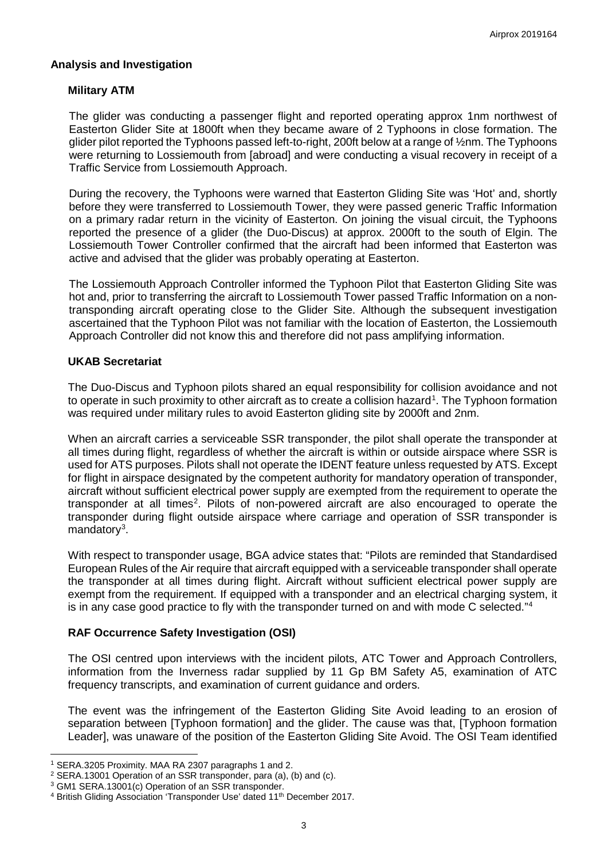## **Analysis and Investigation**

#### **Military ATM**

The glider was conducting a passenger flight and reported operating approx 1nm northwest of Easterton Glider Site at 1800ft when they became aware of 2 Typhoons in close formation. The glider pilot reported the Typhoons passed left-to-right, 200ft below at a range of ½nm. The Typhoons were returning to Lossiemouth from [abroad] and were conducting a visual recovery in receipt of a Traffic Service from Lossiemouth Approach.

During the recovery, the Typhoons were warned that Easterton Gliding Site was 'Hot' and, shortly before they were transferred to Lossiemouth Tower, they were passed generic Traffic Information on a primary radar return in the vicinity of Easterton. On joining the visual circuit, the Typhoons reported the presence of a glider (the Duo-Discus) at approx. 2000ft to the south of Elgin. The Lossiemouth Tower Controller confirmed that the aircraft had been informed that Easterton was active and advised that the glider was probably operating at Easterton.

The Lossiemouth Approach Controller informed the Typhoon Pilot that Easterton Gliding Site was hot and, prior to transferring the aircraft to Lossiemouth Tower passed Traffic Information on a nontransponding aircraft operating close to the Glider Site. Although the subsequent investigation ascertained that the Typhoon Pilot was not familiar with the location of Easterton, the Lossiemouth Approach Controller did not know this and therefore did not pass amplifying information.

#### **UKAB Secretariat**

The Duo-Discus and Typhoon pilots shared an equal responsibility for collision avoidance and not to operate in such proximity to other aircraft as to create a collision hazard<sup>[1](#page-2-0)</sup>. The Typhoon formation was required under military rules to avoid Easterton gliding site by 2000ft and 2nm.

When an aircraft carries a serviceable SSR transponder, the pilot shall operate the transponder at all times during flight, regardless of whether the aircraft is within or outside airspace where SSR is used for ATS purposes. Pilots shall not operate the IDENT feature unless requested by ATS. Except for flight in airspace designated by the competent authority for mandatory operation of transponder, aircraft without sufficient electrical power supply are exempted from the requirement to operate the transponder at all times<sup>[2](#page-2-1)</sup>. Pilots of non-powered aircraft are also encouraged to operate the transponder during flight outside airspace where carriage and operation of SSR transponder is mandatory<sup>[3](#page-2-2)</sup>.

With respect to transponder usage, BGA advice states that: "Pilots are reminded that Standardised European Rules of the Air require that aircraft equipped with a serviceable transponder shall operate the transponder at all times during flight. Aircraft without sufficient electrical power supply are exempt from the requirement. If equipped with a transponder and an electrical charging system, it is in any case good practice to fly with the transponder turned on and with mode C selected."[4](#page-2-3)

# **RAF Occurrence Safety Investigation (OSI)**

The OSI centred upon interviews with the incident pilots, ATC Tower and Approach Controllers, information from the Inverness radar supplied by 11 Gp BM Safety A5, examination of ATC frequency transcripts, and examination of current guidance and orders.

The event was the infringement of the Easterton Gliding Site Avoid leading to an erosion of separation between [Typhoon formation] and the glider. The cause was that, [Typhoon formation Leader], was unaware of the position of the Easterton Gliding Site Avoid. The OSI Team identified

l

<span id="page-2-0"></span><sup>1</sup> SERA.3205 Proximity. MAA RA 2307 paragraphs 1 and 2.

<span id="page-2-1"></span><sup>2</sup> SERA.13001 Operation of an SSR transponder, para (a), (b) and (c).

<span id="page-2-2"></span><sup>3</sup> GM1 SERA.13001(c) Operation of an SSR transponder.

<span id="page-2-3"></span><sup>&</sup>lt;sup>4</sup> British Gliding Association 'Transponder Use' dated 11<sup>th</sup> December 2017.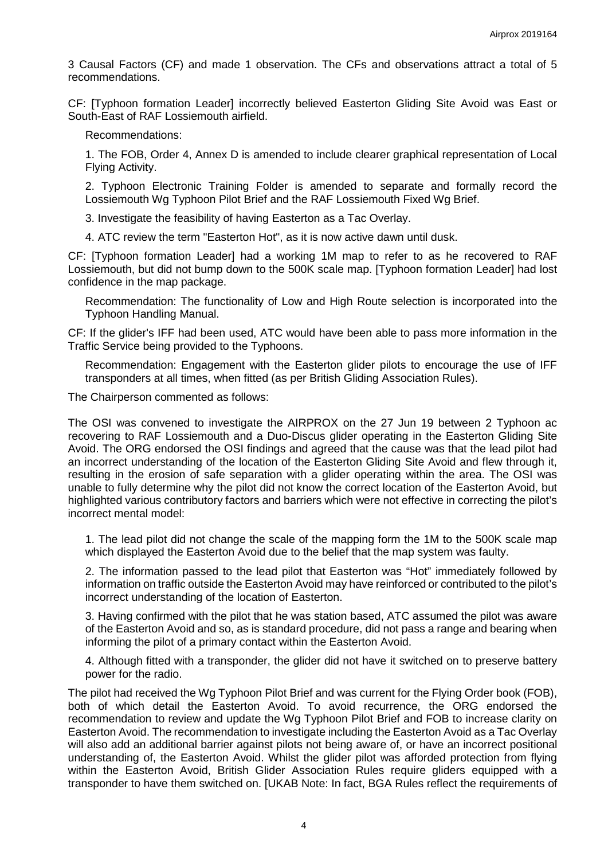3 Causal Factors (CF) and made 1 observation. The CFs and observations attract a total of 5 recommendations.

CF: [Typhoon formation Leader] incorrectly believed Easterton Gliding Site Avoid was East or South-East of RAF Lossiemouth airfield.

Recommendations:

1. The FOB, Order 4, Annex D is amended to include clearer graphical representation of Local Flying Activity.

2. Typhoon Electronic Training Folder is amended to separate and formally record the Lossiemouth Wg Typhoon Pilot Brief and the RAF Lossiemouth Fixed Wg Brief.

3. Investigate the feasibility of having Easterton as a Tac Overlay.

4. ATC review the term "Easterton Hot", as it is now active dawn until dusk.

CF: [Typhoon formation Leader] had a working 1M map to refer to as he recovered to RAF Lossiemouth, but did not bump down to the 500K scale map. [Typhoon formation Leader] had lost confidence in the map package.

Recommendation: The functionality of Low and High Route selection is incorporated into the Typhoon Handling Manual.

CF: If the glider's IFF had been used, ATC would have been able to pass more information in the Traffic Service being provided to the Typhoons.

Recommendation: Engagement with the Easterton glider pilots to encourage the use of IFF transponders at all times, when fitted (as per British Gliding Association Rules).

The Chairperson commented as follows:

The OSI was convened to investigate the AIRPROX on the 27 Jun 19 between 2 Typhoon ac recovering to RAF Lossiemouth and a Duo-Discus glider operating in the Easterton Gliding Site Avoid. The ORG endorsed the OSI findings and agreed that the cause was that the lead pilot had an incorrect understanding of the location of the Easterton Gliding Site Avoid and flew through it, resulting in the erosion of safe separation with a glider operating within the area. The OSI was unable to fully determine why the pilot did not know the correct location of the Easterton Avoid, but highlighted various contributory factors and barriers which were not effective in correcting the pilot's incorrect mental model:

1. The lead pilot did not change the scale of the mapping form the 1M to the 500K scale map which displayed the Easterton Avoid due to the belief that the map system was faulty.

2. The information passed to the lead pilot that Easterton was "Hot" immediately followed by information on traffic outside the Easterton Avoid may have reinforced or contributed to the pilot's incorrect understanding of the location of Easterton.

3. Having confirmed with the pilot that he was station based, ATC assumed the pilot was aware of the Easterton Avoid and so, as is standard procedure, did not pass a range and bearing when informing the pilot of a primary contact within the Easterton Avoid.

4. Although fitted with a transponder, the glider did not have it switched on to preserve battery power for the radio.

The pilot had received the Wg Typhoon Pilot Brief and was current for the Flying Order book (FOB), both of which detail the Easterton Avoid. To avoid recurrence, the ORG endorsed the recommendation to review and update the Wg Typhoon Pilot Brief and FOB to increase clarity on Easterton Avoid. The recommendation to investigate including the Easterton Avoid as a Tac Overlay will also add an additional barrier against pilots not being aware of, or have an incorrect positional understanding of, the Easterton Avoid. Whilst the glider pilot was afforded protection from flying within the Easterton Avoid, British Glider Association Rules require gliders equipped with a transponder to have them switched on. [UKAB Note: In fact, BGA Rules reflect the requirements of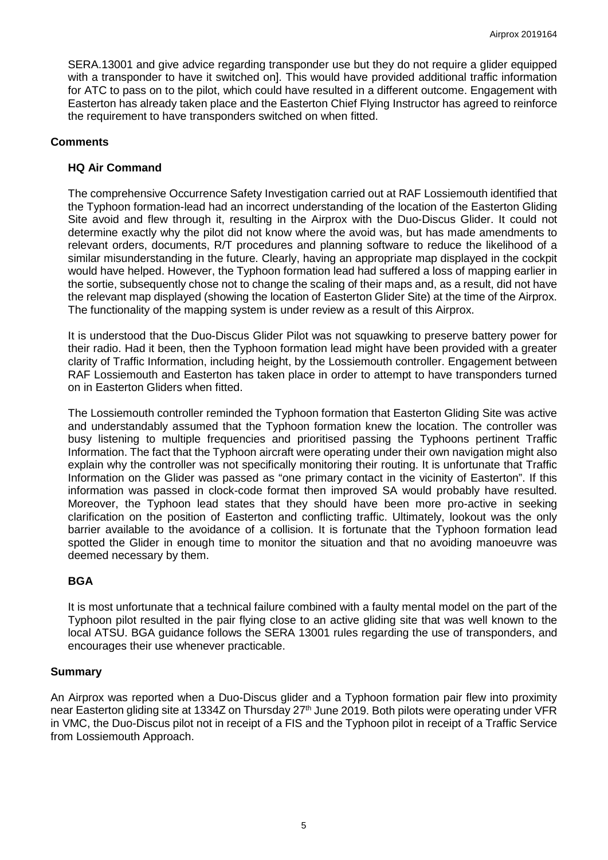SERA.13001 and give advice regarding transponder use but they do not require a glider equipped with a transponder to have it switched on. This would have provided additional traffic information for ATC to pass on to the pilot, which could have resulted in a different outcome. Engagement with Easterton has already taken place and the Easterton Chief Flying Instructor has agreed to reinforce the requirement to have transponders switched on when fitted.

# **Comments**

# **HQ Air Command**

The comprehensive Occurrence Safety Investigation carried out at RAF Lossiemouth identified that the Typhoon formation-lead had an incorrect understanding of the location of the Easterton Gliding Site avoid and flew through it, resulting in the Airprox with the Duo-Discus Glider. It could not determine exactly why the pilot did not know where the avoid was, but has made amendments to relevant orders, documents, R/T procedures and planning software to reduce the likelihood of a similar misunderstanding in the future. Clearly, having an appropriate map displayed in the cockpit would have helped. However, the Typhoon formation lead had suffered a loss of mapping earlier in the sortie, subsequently chose not to change the scaling of their maps and, as a result, did not have the relevant map displayed (showing the location of Easterton Glider Site) at the time of the Airprox. The functionality of the mapping system is under review as a result of this Airprox.

It is understood that the Duo-Discus Glider Pilot was not squawking to preserve battery power for their radio. Had it been, then the Typhoon formation lead might have been provided with a greater clarity of Traffic Information, including height, by the Lossiemouth controller. Engagement between RAF Lossiemouth and Easterton has taken place in order to attempt to have transponders turned on in Easterton Gliders when fitted.

The Lossiemouth controller reminded the Typhoon formation that Easterton Gliding Site was active and understandably assumed that the Typhoon formation knew the location. The controller was busy listening to multiple frequencies and prioritised passing the Typhoons pertinent Traffic Information. The fact that the Typhoon aircraft were operating under their own navigation might also explain why the controller was not specifically monitoring their routing. It is unfortunate that Traffic Information on the Glider was passed as "one primary contact in the vicinity of Easterton". If this information was passed in clock-code format then improved SA would probably have resulted. Moreover, the Typhoon lead states that they should have been more pro-active in seeking clarification on the position of Easterton and conflicting traffic. Ultimately, lookout was the only barrier available to the avoidance of a collision. It is fortunate that the Typhoon formation lead spotted the Glider in enough time to monitor the situation and that no avoiding manoeuvre was deemed necessary by them.

# **BGA**

It is most unfortunate that a technical failure combined with a faulty mental model on the part of the Typhoon pilot resulted in the pair flying close to an active gliding site that was well known to the local ATSU. BGA guidance follows the SERA 13001 rules regarding the use of transponders, and encourages their use whenever practicable.

# **Summary**

An Airprox was reported when a Duo-Discus glider and a Typhoon formation pair flew into proximity near Easterton gliding site at 1334Z on Thursday 27<sup>th</sup> June 2019. Both pilots were operating under VFR in VMC, the Duo-Discus pilot not in receipt of a FIS and the Typhoon pilot in receipt of a Traffic Service from Lossiemouth Approach.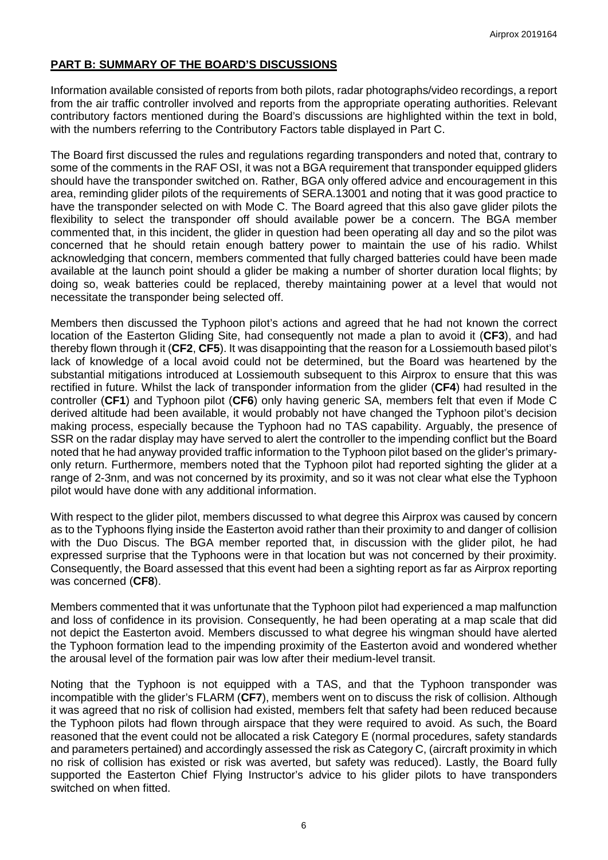# **PART B: SUMMARY OF THE BOARD'S DISCUSSIONS**

Information available consisted of reports from both pilots, radar photographs/video recordings, a report from the air traffic controller involved and reports from the appropriate operating authorities. Relevant contributory factors mentioned during the Board's discussions are highlighted within the text in bold, with the numbers referring to the Contributory Factors table displayed in Part C.

The Board first discussed the rules and regulations regarding transponders and noted that, contrary to some of the comments in the RAF OSI, it was not a BGA requirement that transponder equipped gliders should have the transponder switched on. Rather, BGA only offered advice and encouragement in this area, reminding glider pilots of the requirements of SERA.13001 and noting that it was good practice to have the transponder selected on with Mode C. The Board agreed that this also gave glider pilots the flexibility to select the transponder off should available power be a concern. The BGA member commented that, in this incident, the glider in question had been operating all day and so the pilot was concerned that he should retain enough battery power to maintain the use of his radio. Whilst acknowledging that concern, members commented that fully charged batteries could have been made available at the launch point should a glider be making a number of shorter duration local flights; by doing so, weak batteries could be replaced, thereby maintaining power at a level that would not necessitate the transponder being selected off.

Members then discussed the Typhoon pilot's actions and agreed that he had not known the correct location of the Easterton Gliding Site, had consequently not made a plan to avoid it (**CF3**), and had thereby flown through it (**CF2**, **CF5**). It was disappointing that the reason for a Lossiemouth based pilot's lack of knowledge of a local avoid could not be determined, but the Board was heartened by the substantial mitigations introduced at Lossiemouth subsequent to this Airprox to ensure that this was rectified in future. Whilst the lack of transponder information from the glider (**CF4**) had resulted in the controller (**CF1**) and Typhoon pilot (**CF6**) only having generic SA, members felt that even if Mode C derived altitude had been available, it would probably not have changed the Typhoon pilot's decision making process, especially because the Typhoon had no TAS capability. Arguably, the presence of SSR on the radar display may have served to alert the controller to the impending conflict but the Board noted that he had anyway provided traffic information to the Typhoon pilot based on the glider's primaryonly return. Furthermore, members noted that the Typhoon pilot had reported sighting the glider at a range of 2-3nm, and was not concerned by its proximity, and so it was not clear what else the Typhoon pilot would have done with any additional information.

With respect to the glider pilot, members discussed to what degree this Airprox was caused by concern as to the Typhoons flying inside the Easterton avoid rather than their proximity to and danger of collision with the Duo Discus. The BGA member reported that, in discussion with the glider pilot, he had expressed surprise that the Typhoons were in that location but was not concerned by their proximity. Consequently, the Board assessed that this event had been a sighting report as far as Airprox reporting was concerned (**CF8**).

Members commented that it was unfortunate that the Typhoon pilot had experienced a map malfunction and loss of confidence in its provision. Consequently, he had been operating at a map scale that did not depict the Easterton avoid. Members discussed to what degree his wingman should have alerted the Typhoon formation lead to the impending proximity of the Easterton avoid and wondered whether the arousal level of the formation pair was low after their medium-level transit.

Noting that the Typhoon is not equipped with a TAS, and that the Typhoon transponder was incompatible with the glider's FLARM (**CF7**), members went on to discuss the risk of collision. Although it was agreed that no risk of collision had existed, members felt that safety had been reduced because the Typhoon pilots had flown through airspace that they were required to avoid. As such, the Board reasoned that the event could not be allocated a risk Category E (normal procedures, safety standards and parameters pertained) and accordingly assessed the risk as Category C, (aircraft proximity in which no risk of collision has existed or risk was averted, but safety was reduced). Lastly, the Board fully supported the Easterton Chief Flying Instructor's advice to his glider pilots to have transponders switched on when fitted.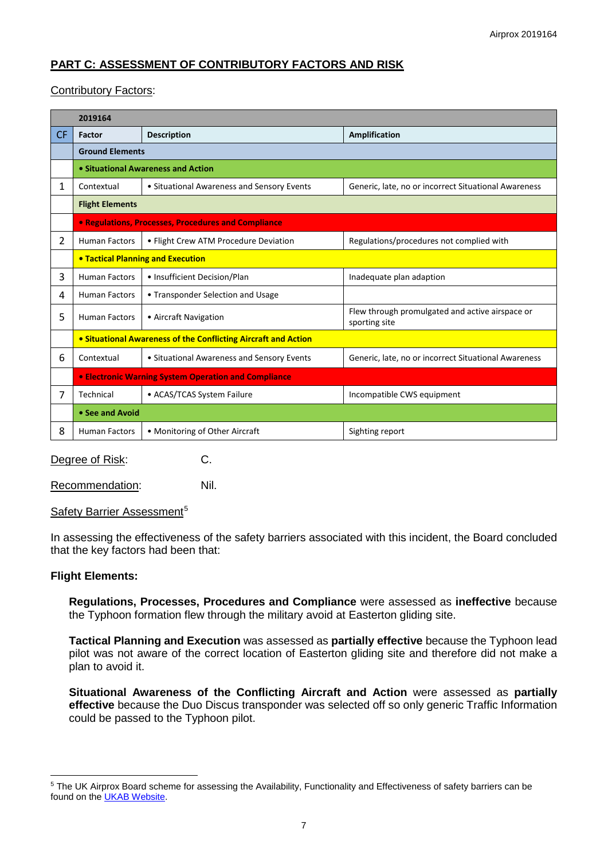# **PART C: ASSESSMENT OF CONTRIBUTORY FACTORS AND RISK**

# Contributory Factors:

|                | 2019164                                                        |                                            |                                                                  |  |  |  |  |  |  |  |
|----------------|----------------------------------------------------------------|--------------------------------------------|------------------------------------------------------------------|--|--|--|--|--|--|--|
| <b>CF</b>      | Factor                                                         | <b>Description</b>                         | Amplification                                                    |  |  |  |  |  |  |  |
|                | <b>Ground Elements</b>                                         |                                            |                                                                  |  |  |  |  |  |  |  |
|                | • Situational Awareness and Action                             |                                            |                                                                  |  |  |  |  |  |  |  |
| 1              | Contextual                                                     | • Situational Awareness and Sensory Events | Generic, late, no or incorrect Situational Awareness             |  |  |  |  |  |  |  |
|                | <b>Flight Elements</b>                                         |                                            |                                                                  |  |  |  |  |  |  |  |
|                | <b>• Regulations, Processes, Procedures and Compliance</b>     |                                            |                                                                  |  |  |  |  |  |  |  |
| $\overline{2}$ | <b>Human Factors</b>                                           | • Flight Crew ATM Procedure Deviation      | Regulations/procedures not complied with                         |  |  |  |  |  |  |  |
|                | <b>. Tactical Planning and Execution</b>                       |                                            |                                                                  |  |  |  |  |  |  |  |
| 3              | <b>Human Factors</b>                                           | • Insufficient Decision/Plan               | Inadequate plan adaption                                         |  |  |  |  |  |  |  |
| 4              | <b>Human Factors</b>                                           | • Transponder Selection and Usage          |                                                                  |  |  |  |  |  |  |  |
| 5              | <b>Human Factors</b>                                           | • Aircraft Navigation                      | Flew through promulgated and active airspace or<br>sporting site |  |  |  |  |  |  |  |
|                | • Situational Awareness of the Conflicting Aircraft and Action |                                            |                                                                  |  |  |  |  |  |  |  |
| 6              | • Situational Awareness and Sensory Events<br>Contextual       |                                            | Generic, late, no or incorrect Situational Awareness             |  |  |  |  |  |  |  |
|                | • Electronic Warning System Operation and Compliance           |                                            |                                                                  |  |  |  |  |  |  |  |
| 7              | Technical                                                      | • ACAS/TCAS System Failure                 | Incompatible CWS equipment                                       |  |  |  |  |  |  |  |
|                | • See and Avoid                                                |                                            |                                                                  |  |  |  |  |  |  |  |
| 8              | <b>Human Factors</b><br>• Monitoring of Other Aircraft         |                                            | Sighting report                                                  |  |  |  |  |  |  |  |

Degree of Risk: C.

Recommendation: Nil.

Safety Barrier Assessment<sup>[5](#page-6-0)</sup>

In assessing the effectiveness of the safety barriers associated with this incident, the Board concluded that the key factors had been that:

# **Flight Elements:**

 $\overline{\phantom{a}}$ 

**Regulations, Processes, Procedures and Compliance** were assessed as **ineffective** because the Typhoon formation flew through the military avoid at Easterton gliding site.

**Tactical Planning and Execution** was assessed as **partially effective** because the Typhoon lead pilot was not aware of the correct location of Easterton gliding site and therefore did not make a plan to avoid it.

**Situational Awareness of the Conflicting Aircraft and Action** were assessed as **partially effective** because the Duo Discus transponder was selected off so only generic Traffic Information could be passed to the Typhoon pilot.

<span id="page-6-0"></span><sup>&</sup>lt;sup>5</sup> The UK Airprox Board scheme for assessing the Availability, Functionality and Effectiveness of safety barriers can be found on the **UKAB Website**.